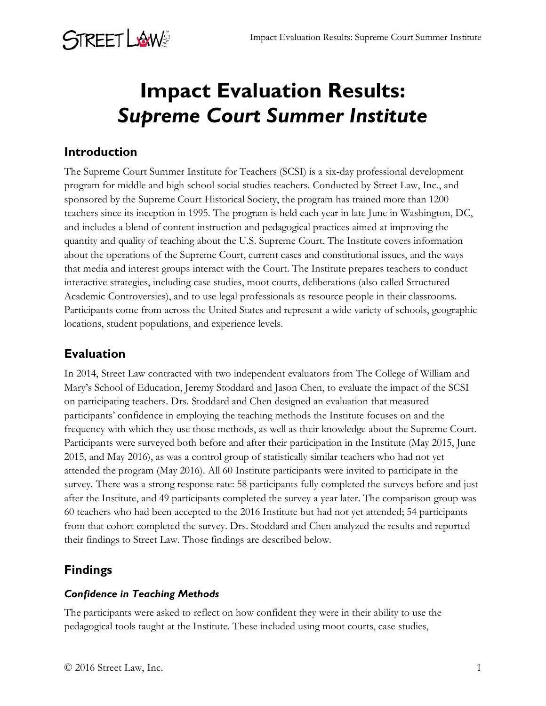

## **Impact Evaluation Results:** *Supreme Court Summer Institute*

#### **Introduction**

The Supreme Court Summer Institute for Teachers (SCSI) is a six-day professional development program for middle and high school social studies teachers. Conducted by Street Law, Inc., and sponsored by the Supreme Court Historical Society, the program has trained more than 1200 teachers since its inception in 1995. The program is held each year in late June in Washington, DC, and includes a blend of content instruction and pedagogical practices aimed at improving the quantity and quality of teaching about the U.S. Supreme Court. The Institute covers information about the operations of the Supreme Court, current cases and constitutional issues, and the ways that media and interest groups interact with the Court. The Institute prepares teachers to conduct interactive strategies, including case studies, moot courts, deliberations (also called Structured Academic Controversies), and to use legal professionals as resource people in their classrooms. Participants come from across the United States and represent a wide variety of schools, geographic locations, student populations, and experience levels.

### **Evaluation**

In 2014, Street Law contracted with two independent evaluators from The College of William and Mary's School of Education, Jeremy Stoddard and Jason Chen, to evaluate the impact of the SCSI on participating teachers. Drs. Stoddard and Chen designed an evaluation that measured participants' confidence in employing the teaching methods the Institute focuses on and the frequency with which they use those methods, as well as their knowledge about the Supreme Court. Participants were surveyed both before and after their participation in the Institute (May 2015, June 2015, and May 2016), as was a control group of statistically similar teachers who had not yet attended the program (May 2016). All 60 Institute participants were invited to participate in the survey. There was a strong response rate: 58 participants fully completed the surveys before and just after the Institute, and 49 participants completed the survey a year later. The comparison group was 60 teachers who had been accepted to the 2016 Institute but had not yet attended; 54 participants from that cohort completed the survey. Drs. Stoddard and Chen analyzed the results and reported their findings to Street Law. Those findings are described below.

### **Findings**

#### *Confidence in Teaching Methods*

The participants were asked to reflect on how confident they were in their ability to use the pedagogical tools taught at the Institute. These included using moot courts, case studies,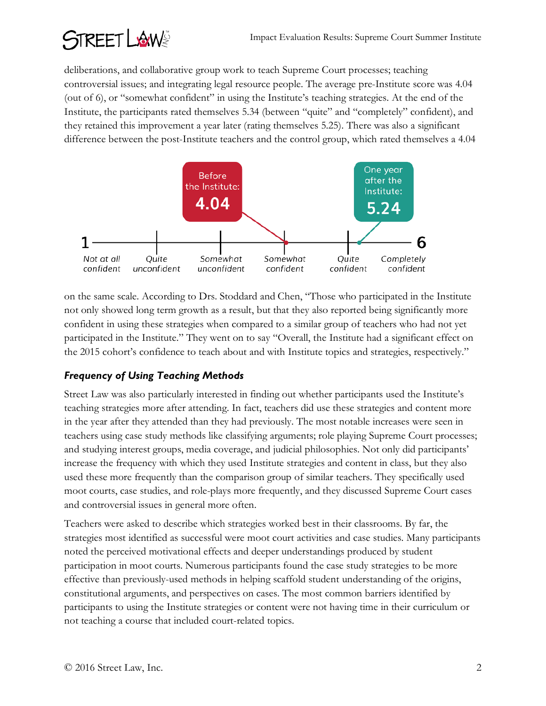# REETLAWS

deliberations, and collaborative group work to teach Supreme Court processes; teaching controversial issues; and integrating legal resource people. The average pre-Institute score was 4.04 (out of 6), or "somewhat confident" in using the Institute's teaching strategies. At the end of the Institute, the participants rated themselves 5.34 (between "quite" and "completely" confident), and they retained this improvement a year later (rating themselves 5.25). There was also a significant difference between the post-Institute teachers and the control group, which rated themselves a 4.04



on the same scale. According to Drs. Stoddard and Chen, "Those who participated in the Institute not only showed long term growth as a result, but that they also reported being significantly more confident in using these strategies when compared to a similar group of teachers who had not yet participated in the Institute." They went on to say "Overall, the Institute had a significant effect on the 2015 cohort's confidence to teach about and with Institute topics and strategies, respectively."

### *Frequency of Using Teaching Methods*

Street Law was also particularly interested in finding out whether participants used the Institute's teaching strategies more after attending. In fact, teachers did use these strategies and content more in the year after they attended than they had previously. The most notable increases were seen in teachers using case study methods like classifying arguments; role playing Supreme Court processes; and studying interest groups, media coverage, and judicial philosophies. Not only did participants' increase the frequency with which they used Institute strategies and content in class, but they also used these more frequently than the comparison group of similar teachers. They specifically used moot courts, case studies, and role-plays more frequently, and they discussed Supreme Court cases and controversial issues in general more often.

Teachers were asked to describe which strategies worked best in their classrooms. By far, the strategies most identified as successful were moot court activities and case studies. Many participants noted the perceived motivational effects and deeper understandings produced by student participation in moot courts. Numerous participants found the case study strategies to be more effective than previously-used methods in helping scaffold student understanding of the origins, constitutional arguments, and perspectives on cases. The most common barriers identified by participants to using the Institute strategies or content were not having time in their curriculum or not teaching a course that included court-related topics.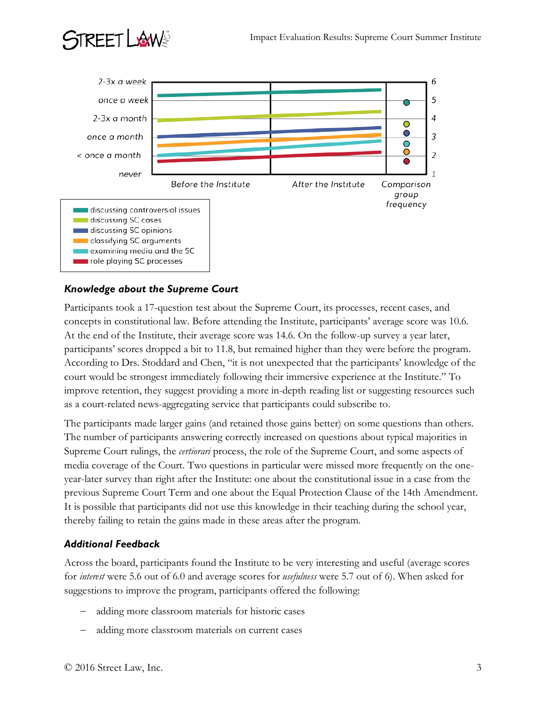

#### *Knowledge about the Supreme Court*

STREET LISUNS

Participants took a 17-question test about the Supreme Court, its processes, recent cases, and concepts in constitutional law. Before attending the Institute, participants' average score was 10.6. At the end of the Institute, their average score was 14.6. On the follow-up survey a year later, participants' scores dropped a bit to 11.8, but remained higher than they were before the program. According to Drs. Stoddard and Chen, "it is not unexpected that the participants' knowledge of the court would be strongest immediately following their immersive experience at the Institute." To improve retention, they suggest providing a more in-depth reading list or suggesting resources such as a court-related news-aggregating service that participants could subscribe to.

The participants made larger gains (and retained those gains better) on some questions than others. The number of participants answering correctly increased on questions about typical majorities in Supreme Court rulings, the *certiorari* process, the role of the Supreme Court, and some aspects of media coverage of the Court. Two questions in particular were missed more frequently on the oneyear-later survey than right after the Institute: one about the constitutional issue in a case from the previous Supreme Court Term and one about the Equal Protection Clause of the 14th Amendment. It is possible that participants did not use this knowledge in their teaching during the school year, thereby failing to retain the gains made in these areas after the program.

#### *Additional Feedback*

Across the board, participants found the Institute to be very interesting and useful (average scores for *interest* were 5.6 out of 6.0 and average scores for *usefulness* were 5.7 out of 6). When asked for suggestions to improve the program, participants offered the following:

- adding more classroom materials for historic cases
- adding more classroom materials on current cases